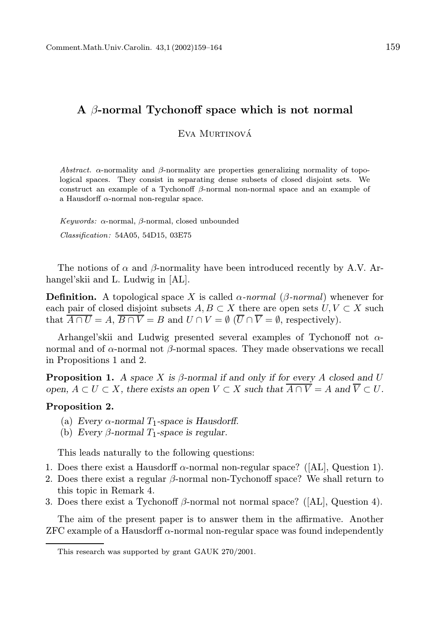## A  $\beta$ -normal Tychonoff space which is not normal

Eva Murtinová

Abstract.  $\alpha$ -normality and  $\beta$ -normality are properties generalizing normality of topological spaces. They consist in separating dense subsets of closed disjoint sets. We construct an example of a Tychonoff  $\beta$ -normal non-normal space and an example of a Hausdorff  $\alpha$ -normal non-regular space.

Keywords: α-normal, β-normal, closed unbounded Classification: 54A05, 54D15, 03E75

The notions of  $\alpha$  and  $\beta$ -normality have been introduced recently by A.V. Arhangel'skii and L. Ludwig in [AL].

**Definition.** A topological space X is called  $\alpha$ -normal ( $\beta$ -normal) whenever for each pair of closed disjoint subsets  $A, B \subset X$  there are open sets  $U, V \subset X$  such that  $\overline{A \cap U} = A$ ,  $\overline{B \cap V} = B$  and  $U \cap V = \emptyset$  ( $\overline{U} \cap \overline{V} = \emptyset$ , respectively).

Arhangel'skii and Ludwig presented several examples of Tychonoff not  $\alpha$ normal and of α-normal not β-normal spaces. They made observations we recall in Propositions 1 and 2.

**Proposition 1.** A space X is  $\beta$ -normal if and only if for every A closed and U open,  $A \subset U \subset X$ , there exists an open  $V \subset X$  such that  $\overline{A \cap V} = A$  and  $\overline{V} \subset U$ .

## Proposition 2.

- (a) Every  $\alpha$ -normal  $T_1$ -space is Hausdorff.
- (b) Every  $\beta$ -normal  $T_1$ -space is regular.

This leads naturally to the following questions:

- 1. Does there exist a Hausdorff  $\alpha$ -normal non-regular space? ([AL], Question 1).
- 2. Does there exist a regular  $\beta$ -normal non-Tychonoff space? We shall return to this topic in Remark 4.
- 3. Does there exist a Tychonoff  $\beta$ -normal not normal space? ([AL], Question 4).

The aim of the present paper is to answer them in the affirmative. Another  $ZFC$  example of a Hausdorff  $\alpha$ -normal non-regular space was found independently

This research was supported by grant GAUK 270/2001.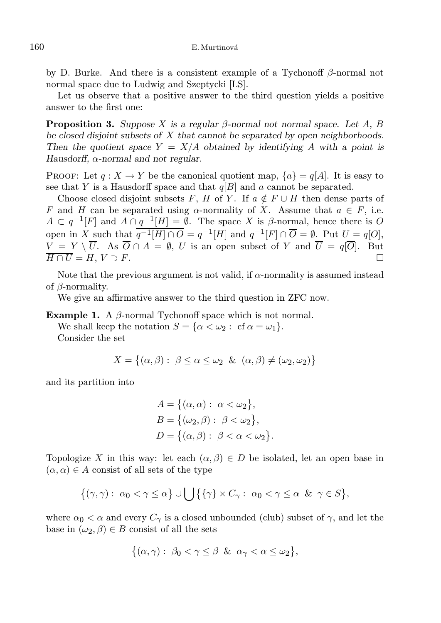by D. Burke. And there is a consistent example of a Tychonoff  $\beta$ -normal not normal space due to Ludwig and Szeptycki [LS].

Let us observe that a positive answer to the third question yields a positive answer to the first one:

**Proposition 3.** Suppose X is a regular β-normal not normal space. Let A, B be closed disjoint subsets of X that cannot be separated by open neighborhoods. Then the quotient space  $Y = X/A$  obtained by identifying A with a point is Hausdorff,  $\alpha$ -normal and not regular.

PROOF: Let  $q: X \to Y$  be the canonical quotient map,  $\{a\} = q[A]$ . It is easy to see that Y is a Hausdorff space and that  $q[B]$  and a cannot be separated.

Choose closed disjoint subsets F, H of Y. If  $a \notin F \cup H$  then dense parts of F and H can be separated using  $\alpha$ -normality of X. Assume that  $a \in F$ , i.e.  $A \subset q^{-1}[F]$  and  $A \cap q^{-1}[H] = \emptyset$ . The space X is  $\beta$ -normal, hence there is O open in X such that  $\overline{q^{-1}[H] \cap O} = q^{-1}[H]$  and  $q^{-1}[F] \cap \overline{O} = \emptyset$ . Put  $U = q[O],$  $V = Y \setminus \overline{U}$ . As  $\overline{O} \cap A = \emptyset$ , U is an open subset of Y and  $\overline{U} = q[\overline{O}]$ . But  $\overline{H \cap U} = H, V \supset F.$ 

Note that the previous argument is not valid, if  $\alpha$ -normality is assumed instead of  $\beta$ -normality.

We give an affirmative answer to the third question in ZFC now.

Example 1. A  $\beta$ -normal Tychonoff space which is not normal.

We shall keep the notation  $S = {\alpha < \omega_2 : cf \alpha = \omega_1}.$ Consider the set

$$
X = \{ (\alpha, \beta) : \ \beta \le \alpha \le \omega_2 \ \& \ (\alpha, \beta) \ne (\omega_2, \omega_2) \}
$$

and its partition into

$$
A = \{ (\alpha, \alpha) : \alpha < \omega_2 \},
$$
  
\n
$$
B = \{ (\omega_2, \beta) : \beta < \omega_2 \},
$$
  
\n
$$
D = \{ (\alpha, \beta) : \beta < \alpha < \omega_2 \}.
$$

Topologize X in this way: let each  $(\alpha, \beta) \in D$  be isolated, let an open base in  $(\alpha, \alpha) \in A$  consist of all sets of the type

$$
\{(\gamma,\gamma): \ \alpha_0 < \gamma \leq \alpha\} \cup \bigcup \{\{\gamma\} \times C_{\gamma}: \ \alpha_0 < \gamma \leq \alpha \ \& \ \gamma \in S\},\
$$

where  $\alpha_0 < \alpha$  and every  $C_{\gamma}$  is a closed unbounded (club) subset of  $\gamma$ , and let the base in  $(\omega_2, \beta) \in B$  consist of all the sets

$$
\{(\alpha,\gamma): \ \beta_0 < \gamma \leq \beta \ \&\ \alpha_\gamma < \alpha \leq \omega_2\},
$$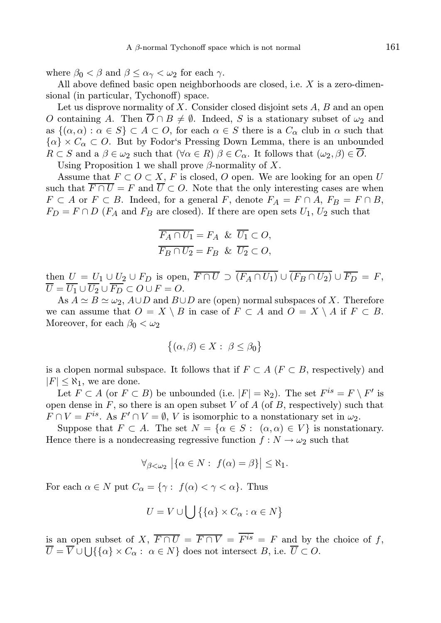where  $\beta_0 < \beta$  and  $\beta \leq \alpha_{\gamma} < \omega_2$  for each  $\gamma$ .

All above defined basic open neighborhoods are closed, i.e.  $X$  is a zero-dimensional (in particular, Tychonoff) space.

Let us disprove normality of X. Consider closed disjoint sets  $A, B$  and an open O containing A. Then  $\overline{O} \cap B \neq \emptyset$ . Indeed, S is a stationary subset of  $\omega_2$  and as  $\{(\alpha, \alpha) : \alpha \in S\} \subset A \subset O$ , for each  $\alpha \in S$  there is a  $C_{\alpha}$  club in  $\alpha$  such that  $\{\alpha\} \times C_\alpha \subset O$ . But by Fodor's Pressing Down Lemma, there is an unbounded  $R \subset S$  and a  $\beta \in \omega_2$  such that  $(\forall \alpha \in R)$   $\beta \in C_\alpha$ . It follows that  $(\omega_2, \beta) \in \overline{O}$ . Using Proposition 1 we shall prove  $\beta$ -normality of X.

Assume that  $F \subset O \subset X$ , F is closed, O open. We are looking for an open U such that  $\overline{F \cap U} = F$  and  $\overline{U} \subset O$ . Note that the only interesting cases are when  $F \subset A$  or  $F \subset B$ . Indeed, for a general F, denote  $F_A = F \cap A$ ,  $F_B = F \cap B$ ,  $F_D = F \cap D$  ( $F_A$  and  $F_B$  are closed). If there are open sets  $U_1, U_2$  such that

$$
\overline{F_A \cap U_1} = F_A \& \overline{U_1} \subset O,
$$
  

$$
\overline{F_B \cap U_2} = F_B \& \overline{U_2} \subset O,
$$

then  $U = U_1 \cup U_2 \cup F_D$  is open,  $\overline{F \cap U} \supset \overline{(F_A \cap U_1)} \cup \overline{(F_B \cap U_2)} \cup \overline{F_D} = F$ ,  $\overline{U} = \overline{U_1} \cup \overline{U_2} \cup \overline{F_D} \subset O \cup F = O.$ 

As  $A \simeq B \simeq \omega_2$ ,  $A \cup D$  and  $B \cup D$  are (open) normal subspaces of X. Therefore we can assume that  $O = X \setminus B$  in case of  $F \subset A$  and  $O = X \setminus A$  if  $F \subset B$ . Moreover, for each  $\beta_0 < \omega_2$ 

$$
\{(\alpha,\beta)\in X:\ \beta\leq\beta_0\}
$$

is a clopen normal subspace. It follows that if  $F \subset A$  ( $F \subset B$ , respectively) and  $|F| \leq \aleph_1$ , we are done.

Let  $F \subset A$  (or  $F \subset B$ ) be unbounded (i.e.  $|F| = \aleph_2$ ). The set  $F^{is} = F \setminus F'$  is open dense in  $F$ , so there is an open subset V of A (of B, respectively) such that  $F \cap V = F^{is}$ . As  $F' \cap V = \emptyset$ , V is isomorphic to a nonstationary set in  $\omega_2$ .

Suppose that  $F \subset A$ . The set  $N = \{ \alpha \in S : (\alpha, \alpha) \in V \}$  is nonstationary. Hence there is a nondecreasing regressive function  $f : N \to \omega_2$  such that

$$
\forall_{\beta<\omega_2} \left|\{\alpha\in N:\ f(\alpha)=\beta\}\right|\leq \aleph_1.
$$

For each  $\alpha \in N$  put  $C_{\alpha} = \{ \gamma : f(\alpha) < \gamma < \alpha \}.$  Thus

$$
U = V \cup \bigcup \{ \{\alpha\} \times C_{\alpha} : \alpha \in N \}
$$

is an open subset of X,  $\overline{F \cap U} = \overline{F \cap V} = \overline{F^{is}} = F$  and by the choice of f,  $U = V \cup \bigcup \{\{\alpha\} \times C_{\alpha} : \alpha \in N\}$  does not intersect B, i.e.  $U \subset O$ .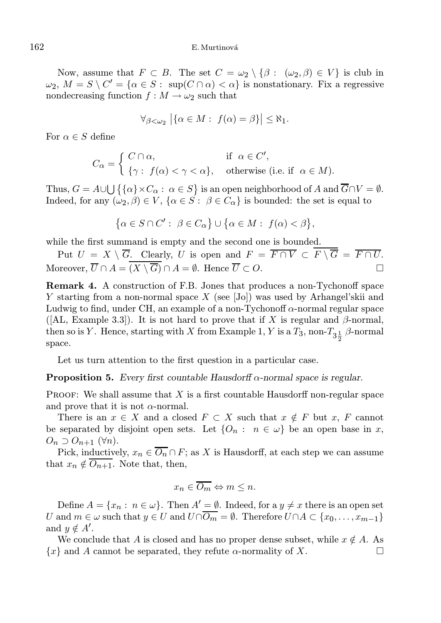Now, assume that  $F \subset B$ . The set  $C = \omega_2 \setminus \{\beta : (\omega_2, \beta) \in V\}$  is club in  $\omega_2, M = S \setminus C' = \{ \alpha \in S : \text{ sup}(C \cap \alpha) < \alpha \}$  is nonstationary. Fix a regressive nondecreasing function  $f : M \to \omega_2$  such that

$$
\forall_{\beta<\omega_2} \left|\{\alpha\in M:\ f(\alpha)=\beta\}\right|\leq \aleph_1.
$$

For  $\alpha \in S$  define

$$
C_{\alpha} = \begin{cases} C \cap \alpha, & \text{if } \alpha \in C', \\ \{\gamma: f(\alpha) < \gamma < \alpha\}, \quad \text{otherwise (i.e. if } \alpha \in M). \end{cases}
$$

Thus,  $G = A \cup \bigcup \{ \{\alpha\} \times C_\alpha : \alpha \in S \}$  is an open neighborhood of A and  $\overline{G} \cap V = \emptyset$ . Indeed, for any  $(\omega_2, \beta) \in V$ ,  $\{\alpha \in S : \beta \in C_\alpha\}$  is bounded: the set is equal to

$$
\big\{\alpha\in S\cap C':\ \beta\in C_\alpha\big\}\cup\big\{\alpha\in M:\ f(\alpha)<\beta\big\},
$$

while the first summand is empty and the second one is bounded.

Put  $U = X \setminus \overline{G}$ . Clearly, U is open and  $F = \overline{F \cap V} \subset \overline{F \setminus G} = \overline{F \cap U}$ . Moreover,  $\overline{U} \cap A = \overline{(X \setminus \overline{G})} \cap A = \emptyset$ . Hence  $\overline{U} \subset O$ .

Remark 4. A construction of F.B. Jones that produces a non-Tychonoff space Y starting from a non-normal space X (see [Jo]) was used by Arhangel'skii and Ludwig to find, under CH, an example of a non-Tychonoff  $\alpha$ -normal regular space ([AL, Example 3.3]). It is not hard to prove that if X is regular and  $\beta$ -normal, then so is Y. Hence, starting with X from Example 1, Y is a  $T_3$ , non- $T_{3\frac{1}{2}}$   $\beta$ -normal space.

Let us turn attention to the first question in a particular case.

**Proposition 5.** Every first countable Hausdorff  $\alpha$ -normal space is regular.

**PROOF:** We shall assume that  $X$  is a first countable Hausdorff non-regular space and prove that it is not  $\alpha$ -normal.

There is an  $x \in X$  and a closed  $F \subset X$  such that  $x \notin F$  but  $x, F$  cannot be separated by disjoint open sets. Let  $\{O_n : n \in \omega\}$  be an open base in x,  $O_n \supset O_{n+1}$  ( $\forall n$ ).

Pick, inductively,  $x_n \in \overline{O_n} \cap F$ ; as X is Hausdorff, at each step we can assume that  $x_n \notin \overline{O_{n+1}}$ . Note that, then,

$$
x_n \in \overline{O_m} \Leftrightarrow m \le n.
$$

Define  $A = \{x_n : n \in \omega\}$ . Then  $A' = \emptyset$ . Indeed, for a  $y \neq x$  there is an open set U and  $m \in \omega$  such that  $y \in U$  and  $U \cap \overline{O_m} = \emptyset$ . Therefore  $U \cap A \subset \{x_0, \ldots, x_{m-1}\}\$ and  $y \notin A'$ .

We conclude that A is closed and has no proper dense subset, while  $x \notin A$ . As  $\{x\}$  and A cannot be separated, they refute  $\alpha$ -normality of X.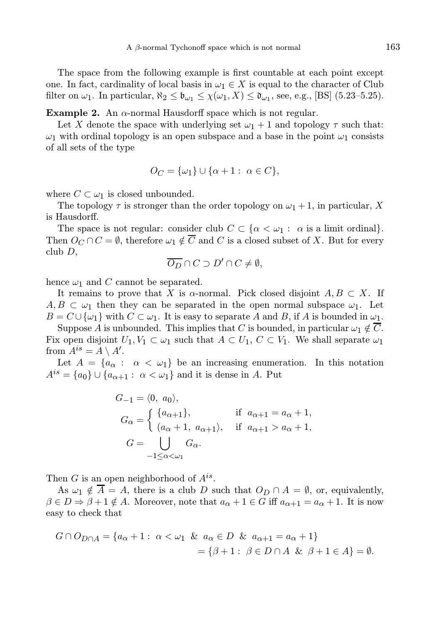The space from the following example is first countable at each point except one. In fact, cardinality of local basis in  $\omega_1 \in X$  is equal to the character of Club filter on  $\omega_1$ . In particular,  $\aleph_2 \leq \mathfrak{b}_{\omega_1} \leq \chi(\omega_1, X) \leq \mathfrak{d}_{\omega_1}$ , see, e.g., [BS] (5.23–5.25).

Example 2. An  $\alpha$ -normal Hausdorff space which is not regular.

Let X denote the space with underlying set  $\omega_1 + 1$  and topology  $\tau$  such that:  $\omega_1$  with ordinal topology is an open subspace and a base in the point  $\omega_1$  consists of all sets of the type

$$
O_C = \{\omega_1\} \cup \{\alpha + 1 : \ \alpha \in C\},\
$$

where  $C \subset \omega_1$  is closed unbounded.

The topology  $\tau$  is stronger than the order topology on  $\omega_1 + 1$ , in particular, X is Hausdorff.

The space is not regular: consider club  $C \subset \{\alpha < \omega_1 : \alpha \text{ is a limit ordinal}\}.$ Then  $O_C \cap C = \emptyset$ , therefore  $\omega_1 \notin \overline{C}$  and C is a closed subset of X. But for every club D,

$$
\overline{O_D} \cap C \supset D' \cap C \neq \emptyset,
$$

hence  $\omega_1$  and C cannot be separated.

It remains to prove that X is  $\alpha$ -normal. Pick closed disjoint  $A, B \subset X$ . If  $A, B \subset \omega_1$  then they can be separated in the open normal subspace  $\omega_1$ . Let  $B = C \cup {\omega_1}$  with  $C \subset \omega_1$ . It is easy to separate A and B, if A is bounded in  $\omega_1$ .

Suppose A is unbounded. This implies that C is bounded, in particular  $\omega_1 \notin \overline{C}$ . Fix open disjoint  $U_1, V_1 \subset \omega_1$  such that  $A \subset U_1, C \subset V_1$ . We shall separate  $\omega_1$ from  $A^{is} = A \setminus A'$ .

Let  $A = \{a_{\alpha} : \alpha < \omega_1\}$  be an increasing enumeration. In this notation  $A^{is} = \{a_0\} \cup \{a_{\alpha+1} : \alpha < \omega_1\}$  and it is dense in A. Put

$$
G_{-1} = \langle 0, a_0 \rangle,
$$
  
\n
$$
G_{\alpha} = \begin{cases} \{a_{\alpha+1}\}, & \text{if } a_{\alpha+1} = a_{\alpha} + 1, \\ (a_{\alpha} + 1, a_{\alpha+1}) , & \text{if } a_{\alpha+1} > a_{\alpha} + 1, \end{cases}
$$
  
\n
$$
G = \bigcup_{-1 \leq \alpha < \omega_1} G_{\alpha}.
$$

Then  $G$  is an open neighborhood of  $A^{is}$ .

As  $\omega_1 \notin \overline{A} = A$ , there is a club D such that  $O_D \cap A = \emptyset$ , or, equivalently,  $\beta \in D \Rightarrow \beta + 1 \notin A$ . Moreover, note that  $a_{\alpha} + 1 \in G$  iff  $a_{\alpha+1} = a_{\alpha} + 1$ . It is now easy to check that

$$
G \cap O_{D \cap A} = \{a_{\alpha} + 1: \ \alpha < \omega_1 \ \& \ a_{\alpha} \in D \ \& \ a_{\alpha + 1} = a_{\alpha} + 1\} \\
= \{\beta + 1: \ \beta \in D \cap A \ \& \ \beta + 1 \in A\} = \emptyset.
$$